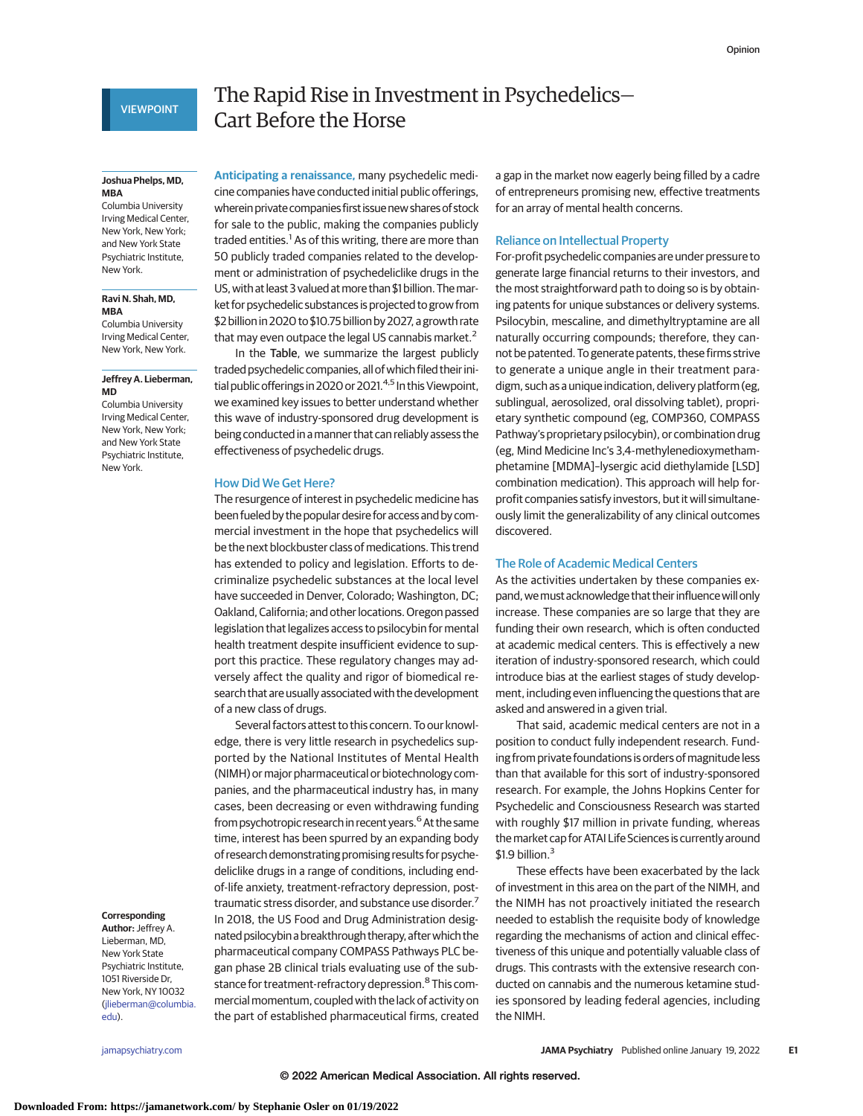# **VIEWPOINT**

#### **Joshua Phelps, MD, MBA**

Columbia University Irving Medical Center, New York, New York; and New York State Psychiatric Institute, New York.

### **Ravi N. Shah, MD, MBA**

Columbia University Irving Medical Center, New York, New York.

# **Jeffrey A. Lieberman, MD**

Columbia University Irving Medical Center, New York, New York; and New York State Psychiatric Institute, New York.

#### **Corresponding**

**Author:** Jeffrey A. Lieberman, MD, New York State Psychiatric Institute, 1051 Riverside Dr, New York, NY 10032 [\(jlieberman@columbia.](mailto:jlieberman@columbia.edu) [edu\)](mailto:jlieberman@columbia.edu).

# The Rapid Rise in Investment in Psychedelics— Cart Before the Horse

**Anticipating a renaissance,** many psychedelic medicine companies have conducted initial public offerings, wherein private companies first issue new shares of stock for sale to the public, making the companies publicly traded entities.<sup>1</sup> As of this writing, there are more than 50 publicly traded companies related to the development or administration of psychedeliclike drugs in the US, with at least 3 valued at more than \$1 billion. The market for psychedelic substances is projected to grow from \$2 billion in 2020 to \$10.75 billion by 2027, a growth rate that may even outpace the legal US cannabis market.<sup>2</sup>

In the Table, we summarize the largest publicly traded psychedelic companies, all of which filed their initial public offerings in 2020 or 2021.4,5 In this Viewpoint, we examined key issues to better understand whether this wave of industry-sponsored drug development is being conducted in amanner that can reliably assess the effectiveness of psychedelic drugs.

### How Did We Get Here?

The resurgence of interest in psychedelic medicine has been fueled by the popular desire for access and by commercial investment in the hope that psychedelics will be the next blockbuster class of medications. This trend has extended to policy and legislation. Efforts to decriminalize psychedelic substances at the local level have succeeded in Denver, Colorado; Washington, DC; Oakland, California; and other locations.Oregon passed legislation that legalizes access to psilocybin for mental health treatment despite insufficient evidence to support this practice. These regulatory changes may adversely affect the quality and rigor of biomedical research that are usually associated with the development of a new class of drugs.

Several factors attest to this concern. To our knowledge, there is very little research in psychedelics supported by the National Institutes of Mental Health (NIMH) or major pharmaceutical or biotechnology companies, and the pharmaceutical industry has, in many cases, been decreasing or even withdrawing funding from psychotropic research in recent years.<sup>6</sup> At the same time, interest has been spurred by an expanding body of research demonstrating promising results for psychedeliclike drugs in a range of conditions, including endof-life anxiety, treatment-refractory depression, posttraumatic stress disorder, and substance use disorder.<sup>7</sup> In 2018, the US Food and Drug Administration designated psilocybin a breakthrough therapy, afterwhich the pharmaceutical company COMPASS Pathways PLC began phase 2B clinical trials evaluating use of the substance for treatment-refractory depression.<sup>8</sup> This commercial momentum, coupled with the lack of activity on the part of established pharmaceutical firms, created a gap in the market now eagerly being filled by a cadre of entrepreneurs promising new, effective treatments for an array of mental health concerns.

# Reliance on Intellectual Property

For-profit psychedelic companies are under pressure to generate large financial returns to their investors, and the most straightforward path to doing so is by obtaining patents for unique substances or delivery systems. Psilocybin, mescaline, and dimethyltryptamine are all naturally occurring compounds; therefore, they cannot be patented. To generate patents, these firms strive to generate a unique angle in their treatment paradigm, such as a unique indication, delivery platform (eg, sublingual, aerosolized, oral dissolving tablet), proprietary synthetic compound (eg, COMP360, COMPASS Pathway's proprietary psilocybin), or combination drug (eg, Mind Medicine Inc's 3,4-methylenedioxymethamphetamine [MDMA]–lysergic acid diethylamide [LSD] combination medication). This approach will help forprofit companies satisfy investors, but it will simultaneously limit the generalizability of any clinical outcomes discovered.

# The Role of Academic Medical Centers

As the activities undertaken by these companies expand, we must acknowledge that their influence will only increase. These companies are so large that they are funding their own research, which is often conducted at academic medical centers. This is effectively a new iteration of industry-sponsored research, which could introduce bias at the earliest stages of study development, including even influencing the questions that are asked and answered in a given trial.

That said, academic medical centers are not in a position to conduct fully independent research. Funding from private foundations is orders of magnitude less than that available for this sort of industry-sponsored research. For example, the Johns Hopkins Center for Psychedelic and Consciousness Research was started with roughly \$17 million in private funding, whereas themarket cap for ATAI Life Sciences is currently around  $$1.9$  billion. $3$ 

These effects have been exacerbated by the lack of investment in this area on the part of the NIMH, and the NIMH has not proactively initiated the research needed to establish the requisite body of knowledge regarding the mechanisms of action and clinical effectiveness of this unique and potentially valuable class of drugs. This contrasts with the extensive research conducted on cannabis and the numerous ketamine studies sponsored by leading federal agencies, including the NIMH.